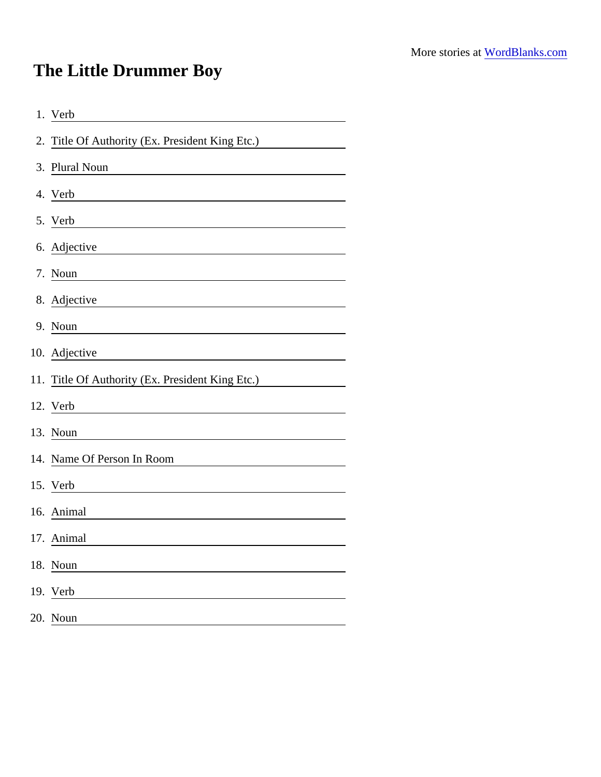## The Little Drummer Boy

| 1. Verb                                                                                                                               |
|---------------------------------------------------------------------------------------------------------------------------------------|
| 2. Title Of Authority (Ex. President King Etc.)                                                                                       |
| 3. Plural Noun                                                                                                                        |
| 4. Verb                                                                                                                               |
| 5. Verb                                                                                                                               |
| 6. Adjective                                                                                                                          |
| 7. Noun                                                                                                                               |
| 8. Adjective                                                                                                                          |
| 9. Noun                                                                                                                               |
| 10. Adjective<br><u> 1980 - Jan Stein Stein Stein Stein Stein Stein Stein Stein Stein Stein Stein Stein Stein Stein Stein Stein S</u> |
| 11. Title Of Authority (Ex. President King Etc.)                                                                                      |
| 12. Verb                                                                                                                              |
| 13. Noun                                                                                                                              |
| 14. Name Of Person In Room                                                                                                            |
| 15. Verb                                                                                                                              |
| 16. Animal                                                                                                                            |
| 17. Animal                                                                                                                            |
| 18. Noun                                                                                                                              |
| 19. Verb                                                                                                                              |
| 20. Noun                                                                                                                              |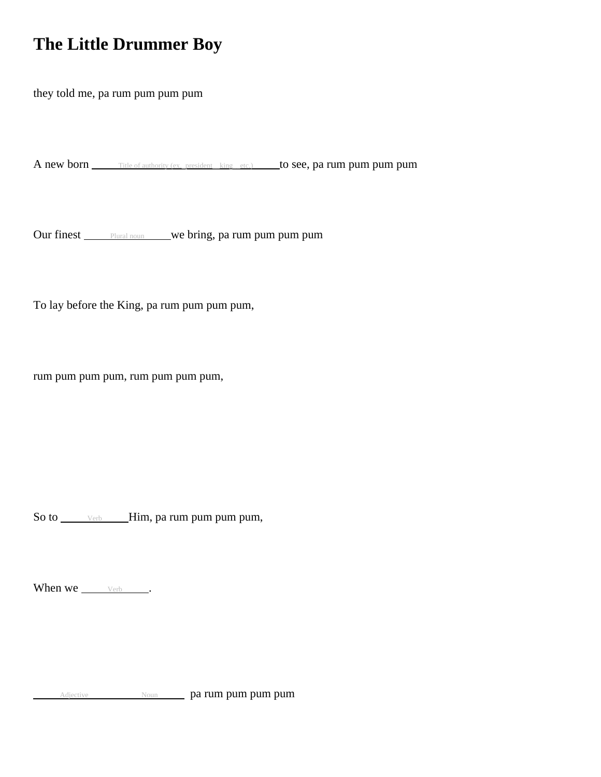## **The Little Drummer Boy**

they told me, pa rum pum pum pum

A new born Title of authority (ex. president king etc.) to see, pa rum pum pum pum pum

Our finest **Plural noun** we bring, pa rum pum pum pum

To lay before the King, pa rum pum pum pum,

rum pum pum pum, rum pum pum pum,

So to \_\_\_\_\_\_ verb \_\_\_\_\_Him, pa rum pum pum pum,

When we  $V_{\text{erb}}$  .

Adjective Noun Noun parum pum pum pum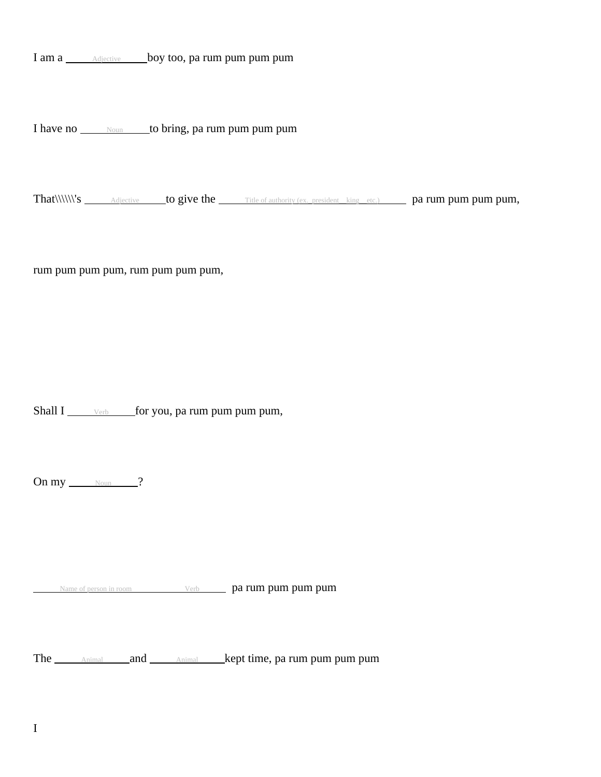I am a **Adjective** boy too, pa rum pum pum pum

I have no  $\frac{N_{\text{OUN}}}{N_{\text{OUN}}}$  to bring, pa rum pum pum pum

That\\\\\\\'s Adjective to give the Title of authority (ex. president\_king\_etc.) pa rum pum pum pum,

rum pum pum pum, rum pum pum pum,

Shall I  $\frac{1}{\sqrt{1-\frac{v_{\text{erb}}}{\sqrt{1-\frac{v_{\text{erb}}}{\sqrt{1-\frac{v_{\text{cm}}}{\sqrt{1-\frac{v_{\text{cm}}}{\sqrt{1-\frac{v_{\text{cm}}}{\sqrt{1-\frac{v_{\text{cm}}}{\sqrt{1-\frac{v_{\text{cm}}}{\sqrt{1-\frac{v_{\text{cm}}}{\sqrt{1-\frac{v_{\text{cm}}}{\sqrt{1-\frac{v_{\text{cm}}}{\sqrt{1-\frac{v_{\text{cm}}}{\sqrt{1-\frac{v_{\text{cm}}}{\sqrt{1-\frac{v_{\text{cm}}}{\sqrt{1-\frac{v_{\$ 

On  $my$   $\frac{Noun}{2}$ ?

Name of person in room Verb **pa rum pum pum pum** 

The <sub>Animal</sub> and Animal kept time, pa rum pum pum pum